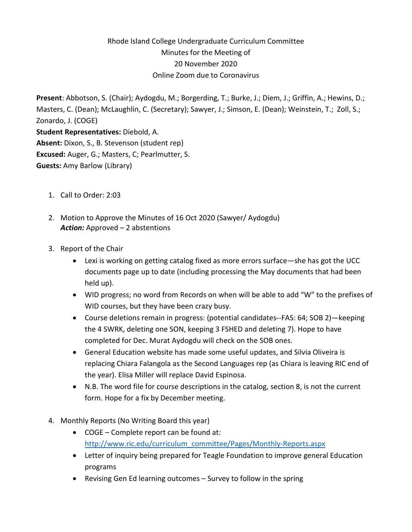# Rhode Island College Undergraduate Curriculum Committee Minutes for the Meeting of 20 November 2020 Online Zoom due to Coronavirus

**Present**: Abbotson, S. (Chair); Aydogdu, M.; Borgerding, T.; Burke, J.; Diem, J.; Griffin, A.; Hewins, D.; Masters, C. (Dean); McLaughlin, C. (Secretary); Sawyer, J.; Simson, E. (Dean); Weinstein, T.; Zoll, S.; Zonardo, J. (COGE)

**Student Representatives:** Diebold, A. **Absent:** Dixon, S., B. Stevenson (student rep) **Excused:** Auger, G.; Masters, C; Pearlmutter, S. **Guests:** Amy Barlow (Library)

- 1. Call to Order: 2:03
- 2. Motion to Approve the Minutes of 16 Oct 2020 (Sawyer/ Aydogdu) *Action:* Approved – 2 abstentions
- 3. Report of the Chair
	- Lexi is working on getting catalog fixed as more errors surface—she has got the UCC documents page up to date (including processing the May documents that had been held up).
	- WID progress; no word from Records on when will be able to add "W" to the prefixes of WID courses, but they have been crazy busy.
	- Course deletions remain in progress: (potential candidates--FAS: 64; SOB 2)—keeping the 4 SWRK, deleting one SON, keeping 3 FSHED and deleting 7). Hope to have completed for Dec. Murat Aydogdu will check on the SOB ones.
	- General Education website has made some useful updates, and Silvia Oliveira is replacing Chiara Falangola as the Second Languages rep (as Chiara is leaving RIC end of the year). Elisa Miller will replace David Espinosa.
	- N.B. The word file for course descriptions in the catalog, section 8, is not the current form. Hope for a fix by December meeting.
- 4. Monthly Reports (No Writing Board this year)
	- COGE Complete report can be found at: [http://www.ric.edu/curriculum\\_committee/Pages/Monthly-Reports.aspx](http://www.ric.edu/curriculum_committee/Pages/Monthly-Reports.aspx)
	- Letter of inquiry being prepared for Teagle Foundation to improve general Education programs
	- Revising Gen Ed learning outcomes Survey to follow in the spring